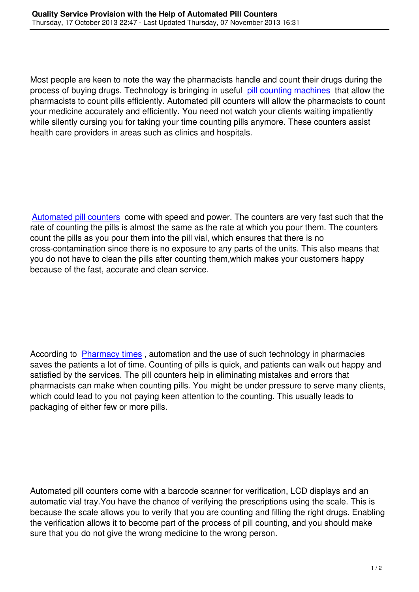Most people are keen to note the way the pharmacists handle and count their drugs during the process of buying drugs. Technology is bringing in useful pill counting machines that allow the pharmacists to count pills efficiently. Automated pill counters will allow the pharmacists to count your medicine accurately and efficiently. You need not watch your clients waiting impatiently while silently cursing you for taking your time counting pill[s anymore. These coun](http://www.fulcruminc.net/category/pill-counters/39)ters assist health care providers in areas such as clinics and hospitals.

Automated pill counters come with speed and power. The counters are very fast such that the rate of counting the pills is almost the same as the rate at which you pour them. The counters count the pills as you pour them into the pill vial, which ensures that there is no [cross-contamination sinc](http://www.fulcruminc.net/category/pill-counters/39)e there is no exposure to any parts of the units. This also means that you do not have to clean the pills after counting them,which makes your customers happy because of the fast, accurate and clean service.

According to Pharmacy times, automation and the use of such technology in pharmacies saves the patients a lot of time. Counting of pills is quick, and patients can walk out happy and satisfied by the services. The pill counters help in eliminating mistakes and errors that pharmacists [can make when c](http://www.pharmacytimes.com/news/Technology-Saves-Time-for-Patients)ounting pills. You might be under pressure to serve many clients, which could lead to you not paying keen attention to the counting. This usually leads to packaging of either few or more pills.

Automated pill counters come with a barcode scanner for verification, LCD displays and an automatic vial tray.You have the chance of verifying the prescriptions using the scale. This is because the scale allows you to verify that you are counting and filling the right drugs. Enabling the verification allows it to become part of the process of pill counting, and you should make sure that you do not give the wrong medicine to the wrong person.